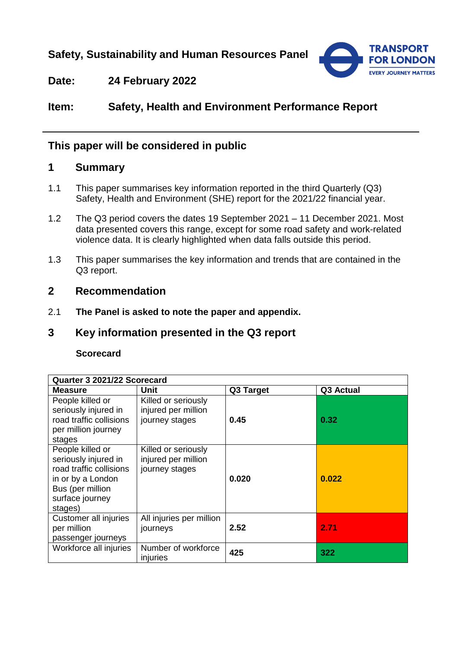**Safety, Sustainability and Human Resources Panel**



# **Date: 24 February 2022**

**Item: Safety, Health and Environment Performance Report**

# **This paper will be considered in public**

# **1 Summary**

- 1.1 This paper summarises key information reported in the third Quarterly (Q3) Safety, Health and Environment (SHE) report for the 2021/22 financial year.
- 1.2 The Q3 period covers the dates 19 September 2021 11 December 2021. Most data presented covers this range, except for some road safety and work-related violence data. It is clearly highlighted when data falls outside this period.
- 1.3 This paper summarises the key information and trends that are contained in the Q3 report.

# **2 Recommendation**

2.1 **The Panel is asked to note the paper and appendix.** 

# **3 Key information presented in the Q3 report**

### **Scorecard**

| Quarter 3 2021/22 Scorecard |                          |           |           |
|-----------------------------|--------------------------|-----------|-----------|
| <b>Measure</b>              | <b>Unit</b>              | Q3 Target | Q3 Actual |
| People killed or            | Killed or seriously      |           |           |
| seriously injured in        | injured per million      |           |           |
| road traffic collisions     | journey stages           | 0.45      | 0.32      |
| per million journey         |                          |           |           |
| stages                      |                          |           |           |
| People killed or            | Killed or seriously      |           |           |
| seriously injured in        | injured per million      |           |           |
| road traffic collisions     | journey stages           |           |           |
| in or by a London           |                          | 0.020     | 0.022     |
| Bus (per million            |                          |           |           |
| surface journey             |                          |           |           |
| stages)                     |                          |           |           |
| Customer all injuries       | All injuries per million |           |           |
| per million                 | journeys                 | 2.52      | 2.71      |
| passenger journeys          |                          |           |           |
| Workforce all injuries      | Number of workforce      | 425       | 322       |
|                             | injuries                 |           |           |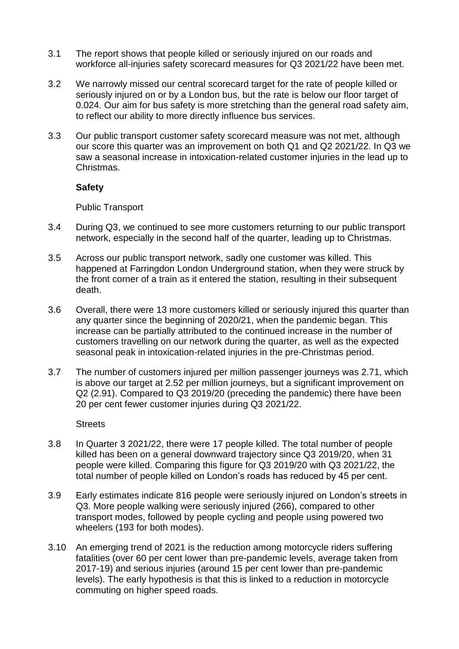- 3.1 The report shows that people killed or seriously injured on our roads and workforce all-injuries safety scorecard measures for Q3 2021/22 have been met.
- 3.2 We narrowly missed our central scorecard target for the rate of people killed or seriously injured on or by a London bus, but the rate is below our floor target of 0.024. Our aim for bus safety is more stretching than the general road safety aim, to reflect our ability to more directly influence bus services.
- 3.3 Our public transport customer safety scorecard measure was not met, although our score this quarter was an improvement on both Q1 and Q2 2021/22. In Q3 we saw a seasonal increase in intoxication-related customer injuries in the lead up to Christmas.

#### **Safety**

Public Transport

- 3.4 During Q3, we continued to see more customers returning to our public transport network, especially in the second half of the quarter, leading up to Christmas.
- 3.5 Across our public transport network, sadly one customer was killed. This happened at Farringdon London Underground station, when they were struck by the front corner of a train as it entered the station, resulting in their subsequent death.
- 3.6 Overall, there were 13 more customers killed or seriously injured this quarter than any quarter since the beginning of 2020/21, when the pandemic began. This increase can be partially attributed to the continued increase in the number of customers travelling on our network during the quarter, as well as the expected seasonal peak in intoxication-related injuries in the pre-Christmas period.
- 3.7 The number of customers injured per million passenger journeys was 2.71, which is above our target at 2.52 per million journeys, but a significant improvement on Q2 (2.91). Compared to Q3 2019/20 (preceding the pandemic) there have been 20 per cent fewer customer injuries during Q3 2021/22.

**Streets** 

- 3.8 In Quarter 3 2021/22, there were 17 people killed. The total number of people killed has been on a general downward trajectory since Q3 2019/20, when 31 people were killed. Comparing this figure for Q3 2019/20 with Q3 2021/22, the total number of people killed on London's roads has reduced by 45 per cent.
- 3.9 Early estimates indicate 816 people were seriously injured on London's streets in Q3. More people walking were seriously injured (266), compared to other transport modes, followed by people cycling and people using powered two wheelers (193 for both modes).
- 3.10 An emerging trend of 2021 is the reduction among motorcycle riders suffering fatalities (over 60 per cent lower than pre-pandemic levels, average taken from 2017-19) and serious injuries (around 15 per cent lower than pre-pandemic levels). The early hypothesis is that this is linked to a reduction in motorcycle commuting on higher speed roads.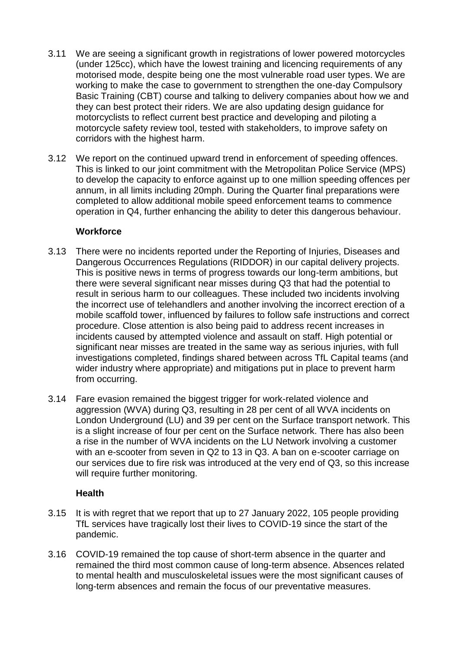- 3.11 We are seeing a significant growth in registrations of lower powered motorcycles (under 125cc), which have the lowest training and licencing requirements of any motorised mode, despite being one the most vulnerable road user types. We are working to make the case to government to strengthen the one-day Compulsory Basic Training (CBT) course and talking to delivery companies about how we and they can best protect their riders. We are also updating design guidance for motorcyclists to reflect current best practice and developing and piloting a motorcycle safety review tool, tested with stakeholders, to improve safety on corridors with the highest harm.
- 3.12 We report on the continued upward trend in enforcement of speeding offences. This is linked to our joint commitment with the Metropolitan Police Service (MPS) to develop the capacity to enforce against up to one million speeding offences per annum, in all limits including 20mph. During the Quarter final preparations were completed to allow additional mobile speed enforcement teams to commence operation in Q4, further enhancing the ability to deter this dangerous behaviour.

### **Workforce**

- 3.13 There were no incidents reported under the Reporting of Injuries, Diseases and Dangerous Occurrences Regulations (RIDDOR) in our capital delivery projects. This is positive news in terms of progress towards our long-term ambitions, but there were several significant near misses during Q3 that had the potential to result in serious harm to our colleagues. These included two incidents involving the incorrect use of telehandlers and another involving the incorrect erection of a mobile scaffold tower, influenced by failures to follow safe instructions and correct procedure. Close attention is also being paid to address recent increases in incidents caused by attempted violence and assault on staff. High potential or significant near misses are treated in the same way as serious injuries, with full investigations completed, findings shared between across TfL Capital teams (and wider industry where appropriate) and mitigations put in place to prevent harm from occurring.
- 3.14 Fare evasion remained the biggest trigger for work-related violence and aggression (WVA) during Q3, resulting in 28 per cent of all WVA incidents on London Underground (LU) and 39 per cent on the Surface transport network. This is a slight increase of four per cent on the Surface network. There has also been a rise in the number of WVA incidents on the LU Network involving a customer with an e-scooter from seven in Q2 to 13 in Q3. A ban on e-scooter carriage on our services due to fire risk was introduced at the very end of Q3, so this increase will require further monitoring.

## **Health**

- 3.15 It is with regret that we report that up to 27 January 2022, 105 people providing TfL services have tragically lost their lives to COVID-19 since the start of the pandemic.
- 3.16 COVID-19 remained the top cause of short-term absence in the quarter and remained the third most common cause of long-term absence. Absences related to mental health and musculoskeletal issues were the most significant causes of long-term absences and remain the focus of our preventative measures.